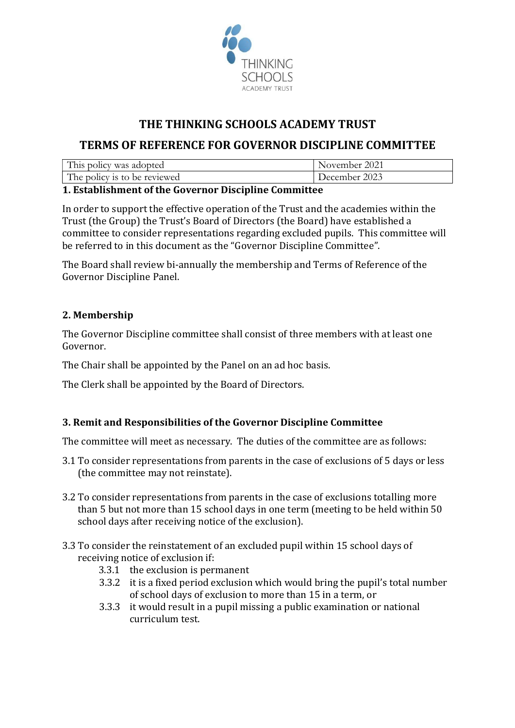

# THE THINKING SCHOOLS ACADEMY TRUST

## TERMS OF REFERENCE FOR GOVERNOR DISCIPLINE COMMITTEE

| This policy was adopted      | November 2021 |
|------------------------------|---------------|
| The policy is to be reviewed | December 2023 |

#### 1. Establishment of the Governor Discipline Committee

In order to support the effective operation of the Trust and the academies within the Trust (the Group) the Trust's Board of Directors (the Board) have established a committee to consider representations regarding excluded pupils. This committee will be referred to in this document as the "Governor Discipline Committee".

The Board shall review bi-annually the membership and Terms of Reference of the Governor Discipline Panel.

### 2. Membership

The Governor Discipline committee shall consist of three members with at least one Governor.

The Chair shall be appointed by the Panel on an ad hoc basis.

The Clerk shall be appointed by the Board of Directors.

### 3. Remit and Responsibilities of the Governor Discipline Committee

The committee will meet as necessary. The duties of the committee are as follows:

- 3.1 To consider representations from parents in the case of exclusions of 5 days or less (the committee may not reinstate).
- 3.2 To consider representations from parents in the case of exclusions totalling more than 5 but not more than 15 school days in one term (meeting to be held within 50 school days after receiving notice of the exclusion).
- 3.3 To consider the reinstatement of an excluded pupil within 15 school days of receiving notice of exclusion if:
	- 3.3.1 the exclusion is permanent
	- 3.3.2 it is a fixed period exclusion which would bring the pupil's total number of school days of exclusion to more than 15 in a term, or
	- 3.3.3 it would result in a pupil missing a public examination or national curriculum test.